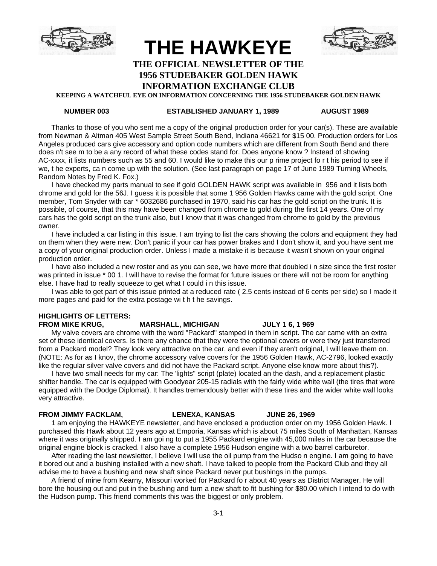

# **THE HAWKEYE**



### **THE OFFICIAL NEWSLETTER OF THE 1956 STUDEBAKER GOLDEN HAWK**

# **INFORMATION EXCHANGE CLUB**

**KEEPING A WATCHFUL EYE ON INFORMATION CONCERNING THE 1956 STUDEBAKER GOLDEN HAWK**

#### **NUMBER 003 ESTABLISHED JANUARY 1, 1989 AUGUST 1989**

Thanks to those of you who sent me a copy of the original production order for your car(s). These are available from Newman & Altman 405 West Sample Street South Bend, Indiana 46621 for \$15 00. Production orders for Los Angeles produced cars give accessory and option code numbers which are different from South Bend and there does n't see m to be a any record of what these codes stand for. Does anyone know ? Instead of showing AC-xxxx, it lists numbers such as 55 and 60. I would like to make this our p rime project fo r t his period to see if we, t he experts, ca n come up with the solution. (See last paragraph on page 17 of June 1989 Turning Wheels, Random Notes by Fred K. Fox.)

I have checked my parts manual to see if gold GOLDEN HAWK script was available in 956 and it lists both chrome and gold for the 56J. I guess it is possible that some 1 956 Golden Hawks came with the gold script. One member, Tom Snyder with car \* 6032686 purchased in 1970, said his car has the gold script on the trunk. It is possible, of course, that this may have been changed from chrome to gold during the first 14 years. One of my cars has the gold script on the trunk also, but I know that it was changed from chrome to gold by the previous owner.

I have included a car listing in this issue. I am trying to list the cars showing the colors and equipment they had on them when they were new. Don't panic if your car has power brakes and I don't show it, and you have sent me a copy of your original production order. Unless I made a mistake it is because it wasn't shown on your original production order.

I have also included a new roster and as you can see, we have more that doubled i n size since the first roster was printed in issue \* 00 1. I will have to revise the format for future issues or there will not be room for anything else. I have had to really squeeze to get what I could i n this issue.

I was able to get part of this issue printed at a reduced rate ( 2.5 cents instead of 6 cents per side) so I made it more pages and paid for the extra postage wi t h t he savings.

#### **HIGHLIGHTS OF LETTERS:**

#### FROM MIKE KRUG, MARSHALL, MICHIGAN JULY 1 6, 1 969

My valve covers are chrome with the word "Packard" stamped in them in script. The car came with an extra set of these identical covers. Is there any chance that they were the optional covers or were they just transferred from a Packard model? They look very attractive on the car, and even if they aren't original, I will leave them on. (NOTE: As for as I knov, the chrome accessory valve covers for the 1956 Golden Hawk, AC-2796, looked exactly like the regular silver valve covers and did not have the Packard script. Anyone else know more about this?).

I have two small needs for my car: The 'lights" script (plate) located an the dash, and a replacement plastic shifter handle. The car is equipped with Goodyear 205-15 radials with the fairly wide white wall (the tires that were equipped with the Dodge Diplomat). It handles tremendously better with these tires and the wider white wall looks very attractive.

#### **FROM JIMMY FACKLAM, LENEXA, KANSAS JUNE 26, 1969**

1 am enjoying the HAWKEYE newsletter, and have enclosed a production order on my 1956 Golden Hawk. I purchased this Hawk about 12 years ago at Emporia, Kansas which is about 75 miles South of Manhattan, Kansas where it was originally shipped. I am goi ng to put a 1955 Packard engine with 45,000 miles in the car because the original engine block is cracked. I also have a complete 1956 Hudson engine with a two barrel carburetor.

After reading the last newsletter, I believe I will use the oil pump from the Hudso n engine. I am going to have it bored out and a bushing installed with a new shaft. I have talked to people from the Packard Club and they all advise me to have a bushing and new shaft since Packard never put bushings in the pumps.

A friend of mine from Kearny, Missouri worked for Packard fo r about 40 years as District Manager. He will bore the housing out and put in the bushing and turn a new shaft to fit bushing for \$80.00 which I intend to do with the Hudson pump. This friend comments this was the biggest or only problem.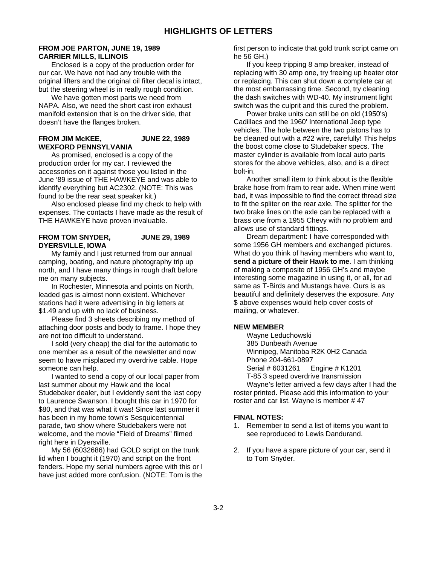#### **FROM JOE PARTON, JUNE 19, 1989 CARRIER MILLS, ILLINOIS**

Enclosed is a copy of the production order for our car. We have not had any trouble with the original lifters and the original oil filter decal is intact, but the steering wheel is in really rough condition.

We have gotten most parts we need from NAPA. Also, we need the short cast iron exhaust manifold extension that is on the driver side, that doesn't have the flanges broken.

#### **FROM JIM McKEE, JUNE 22, 1989 WEXFORD PENNSYLVANIA**

As promised, enclosed is a copy of the production order for my car. I reviewed the accessories on it against those you listed in the June '89 issue of THE HAWKEYE and was able to identify everything but AC2302. (NOTE: This was found to be the rear seat speaker kit.)

Also enclosed please find my check to help with expenses. The contacts I have made as the result of THE HAWKEYE have proven invaluable.

#### **FROM TOM SNYDER, JUNE 29, 1989 DYERSVILLE, IOWA**

My family and I just returned from our annual camping, boating, and nature photography trip up north, and I have many things in rough draft before me on many subjects.

In Rochester, Minnesota and points on North, leaded gas is almost nonn existent. Whichever stations had it were advertising in big letters at \$1.49 and up with no lack of business.

Please find 3 sheets describing my method of attaching door posts and body to frame. I hope they are not too difficult to understand.

I sold (very cheap) the dial for the automatic to one member as a result of the newsletter and now seem to have misplaced my overdrive cable. Hope someone can help.

I wanted to send a copy of our local paper from last summer about my Hawk and the local Studebaker dealer, but I evidently sent the last copy to Laurence Swanson. I bought this car in 1970 for \$80, and that was what it was! Since last summer it has been in my home town's Sesquicentennial parade, two show where Studebakers were not welcome, and the movie "Field of Dreams" filmed right here in Dyersville.

My 56 (6032686) had GOLD script on the trunk lid when I bought it (1970) and script on the front fenders. Hope my serial numbers agree with this or I have just added more confusion. (NOTE: Tom is the first person to indicate that gold trunk script came on he 56 GH.)

If you keep tripping 8 amp breaker, instead of replacing with 30 amp one, try freeing up heater otor or replacing. This can shut down a complete car at the most embarrassing time. Second, try cleaning the dash switches with WD-40. My instrument light switch was the culprit and this cured the problem.

Power brake units can still be on old (1950's) Cadillacs and the 1960' International Jeep type vehicles. The hole between the two pistons has to be cleaned out with a #22 wire, carefully! This helps the boost come close to Studebaker specs. The master cylinder is available from local auto parts stores for the above vehicles, also, and is a direct bolt-in.

Another small item to think about is the flexible brake hose from fram to rear axle. When mine went bad, it was impossible to find the correct thread size to fit the spliter on the rear axle. The splitter for the two brake lines on the axle can be replaced with a brass one from a 1955 Chevy with no problem and allows use of standard fittings.

Dream department: I have corresponded with some 1956 GH members and exchanged pictures. What do you think of having members who want to, **send a picture of their Hawk to me**. I am thinking of making a composite of 1956 GH's and maybe interesting some magazine in using it, or all, for ad same as T-Birds and Mustangs have. Ours is as beautiful and definitely deserves the exposure. Any \$ above expenses would help cover costs of mailing, or whatever.

#### **NEW MEMBER**

Wayne Leduchowski 385 Dunbeath Avenue Winnipeg, Manitoba R2K 0H2 Canada Phone 204-661-0897 Serial # 6031261 Engine # K1201 T-85 3 speed overdrive transmission Wayne's letter arrived a few days after I had the roster printed. Please add this information to your

roster and car list. Wayne is member # 47

#### **FINAL NOTES:**

- 1. Remember to send a list of items you want to see reproduced to Lewis Dandurand.
- 2. If you have a spare picture of your car, send it to Tom Snyder.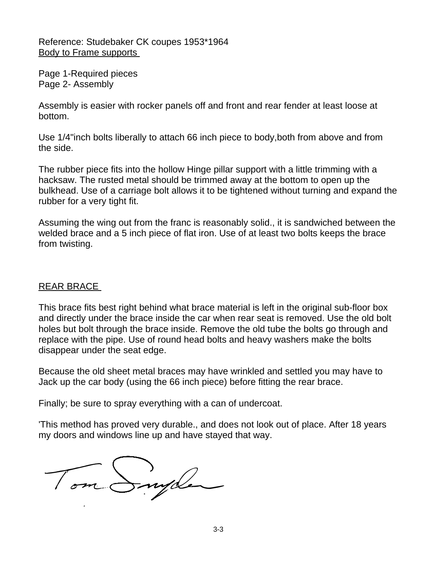Reference: Studebaker CK coupes 1953\*1964 Body to Frame supports

Page 1-Required pieces Page 2- Assembly

Assembly is easier with rocker panels off and front and rear fender at least loose at bottom.

Use 1/4"inch bolts liberally to attach 66 inch piece to body,both from above and from the side.

The rubber piece fits into the hollow Hinge pillar support with a little trimming with a hacksaw. The rusted metal should be trimmed away at the bottom to open up the bulkhead. Use of a carriage bolt allows it to be tightened without turning and expand the rubber for a very tight fit.

Assuming the wing out from the franc is reasonably solid., it is sandwiched between the welded brace and a 5 inch piece of flat iron. Use of at least two bolts keeps the brace from twisting.

## REAR BRACE

This brace fits best right behind what brace material is left in the original sub-floor box and directly under the brace inside the car when rear seat is removed. Use the old bolt holes but bolt through the brace inside. Remove the old tube the bolts go through and replace with the pipe. Use of round head bolts and heavy washers make the bolts disappear under the seat edge.

Because the old sheet metal braces may have wrinkled and settled you may have to Jack up the car body (using the 66 inch piece) before fitting the rear brace.

Finally; be sure to spray everything with a can of undercoat.

'This method has proved very durable., and does not look out of place. After 18 years my doors and windows line up and have stayed that way.

Tom Snyder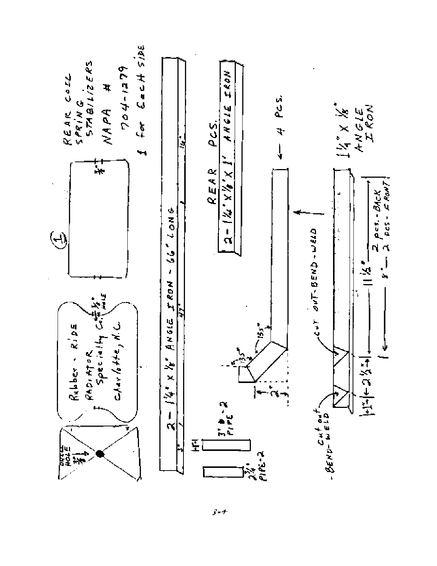

 $3 - t$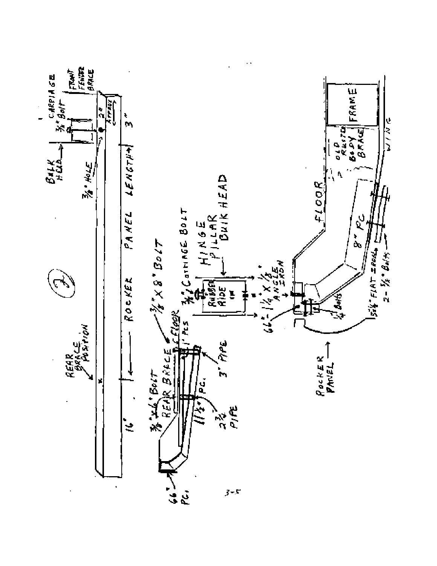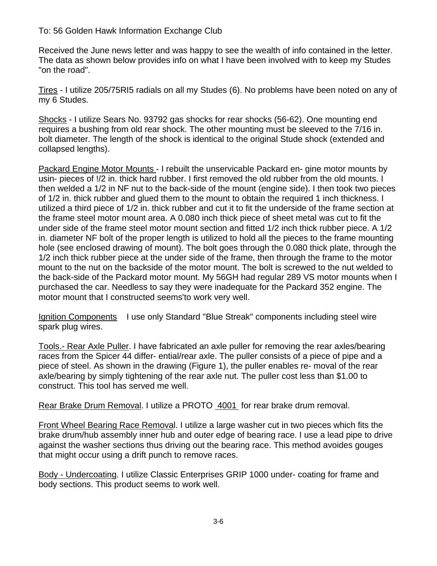### To: 56 Golden Hawk Information Exchange Club

Received the June news letter and was happy to see the wealth of info contained in the letter. The data as shown below provides info on what I have been involved with to keep my Studes "on the road".

Tires - I utilize 205/75RI5 radials on all my Studes (6). No problems have been noted on any of my 6 Studes.

Shocks - I utilize Sears No. 93792 gas shocks for rear shocks (56-62). One mounting end requires a bushing from old rear shock. The other mounting must be sleeved to the 7/16 in. bolt diameter. The length of the shock is identical to the original Stude shock (extended and collapsed lengths).

Packard Engine Motor Mounts - I rebuilt the unservicable Packard en- gine motor mounts by usin- pieces of !/2 in. thick hard rubber. I first removed the old rubber from the old mounts. I then welded a 1/2 in NF nut to the back-side of the mount (engine side). I then took two pieces of 1/2 in. thick rubber and glued them to the mount to obtain the required 1 inch thickness. I utilized a third piece of 1/2 in. thick rubber and cut it to fit the underside of the frame section at the frame steel motor mount area. A 0.080 inch thick piece of sheet metal was cut to fit the under side of the frame steel motor mount section and fitted 1/2 inch thick rubber piece. A 1/2 in. diameter NF bolt of the proper length is utilized to hold all the pieces to the frame mounting hole (see enclosed drawing of mount). The bolt goes through the 0.080 thick plate, through the 1/2 inch thick rubber piece at the under side of the frame, then through the frame to the motor mount to the nut on the backside of the motor mount. The bolt is screwed to the nut welded to the back-side of the Packard motor mount. My 56GH had regular 289 VS motor mounts when I purchased the car. Needless to say they were inadequate for the Packard 352 engine. The motor mount that I constructed seems'to work very well.

Ignition Components I use only Standard "Blue Streak" components including steel wire spark plug wires.

Tools.- Rear Axle Puller. I have fabricated an axle puller for removing the rear axles/bearing races from the Spicer 44 differ- ential/rear axle. The puller consists of a piece of pipe and a piece of steel. As shown in the drawing (Figure 1), the puller enables re- moval of the rear axle/bearing by simply tightening of the rear axle nut. The puller cost less than \$1.00 to construct. This tool has served me well.

Rear Brake Drum Removal. I utilize a PROTO 4001 for rear brake drum removal.

Front Wheel Bearing Race Removal. I utilize a large washer cut in two pieces which fits the brake drum/hub assembly inner hub and outer edge of bearing race. I use a lead pipe to drive against the washer sections thus driving out the bearing race. This method avoides gouges that might occur using a drift punch to remove races.

Body - Undercoating. I utilize Classic Enterprises GRIP 1000 under- coating for frame and body sections. This product seems to work well.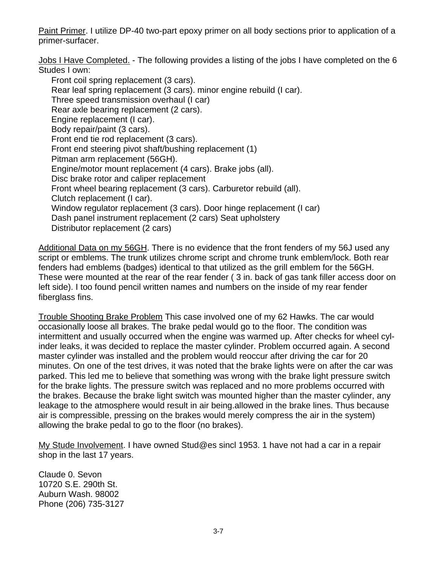Paint Primer. I utilize DP-40 two-part epoxy primer on all body sections prior to application of a primer-surfacer.

Jobs I Have Completed. - The following provides a listing of the jobs I have completed on the 6 Studes I own:

Front coil spring replacement (3 cars). Rear leaf spring replacement (3 cars). minor engine rebuild (I car). Three speed transmission overhaul (I car) Rear axle bearing replacement (2 cars). Engine replacement (I car). Body repair/paint (3 cars). Front end tie rod replacement (3 cars). Front end steering pivot shaft/bushing replacement (1) Pitman arm replacement (56GH). Engine/motor mount replacement (4 cars). Brake jobs (all). Disc brake rotor and caliper replacement Front wheel bearing replacement (3 cars). Carburetor rebuild (all). Clutch replacement (I car). Window regulator replacement (3 cars). Door hinge replacement (I car) Dash panel instrument replacement (2 cars) Seat upholstery Distributor replacement (2 cars)

Additional Data on my 56GH. There is no evidence that the front fenders of my 56J used any script or emblems. The trunk utilizes chrome script and chrome trunk emblem/lock. Both rear fenders had emblems (badges) identical to that utilized as the grill emblem for the 56GH. These were mounted at the rear of the rear fender ( 3 in. back of gas tank filler access door on left side). I too found pencil written names and numbers on the inside of my rear fender fiberglass fins.

Trouble Shooting Brake Problem This case involved one of my 62 Hawks. The car would occasionally loose all brakes. The brake pedal would go to the floor. The condition was intermittent and usually occurred when the engine was warmed up. After checks for wheel cylinder leaks, it was decided to replace the master cylinder. Problem occurred again. A second master cylinder was installed and the problem would reoccur after driving the car for 20 minutes. On one of the test drives, it was noted that the brake lights were on after the car was parked. This led me to believe that something was wrong with the brake light pressure switch for the brake lights. The pressure switch was replaced and no more problems occurred with the brakes. Because the brake light switch was mounted higher than the master cylinder, any leakage to the atmosphere would result in air being.allowed in the brake lines. Thus because air is compressible, pressing on the brakes would merely compress the air in the system) allowing the brake pedal to go to the floor (no brakes).

My Stude Involvement. I have owned Stud@es sincl 1953. 1 have not had a car in a repair shop in the last 17 years.

Claude 0. Sevon 10720 S.E. 290th St. Auburn Wash. 98002 Phone (206) 735-3127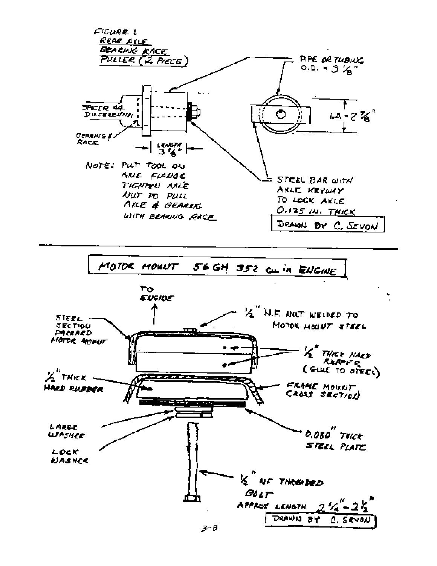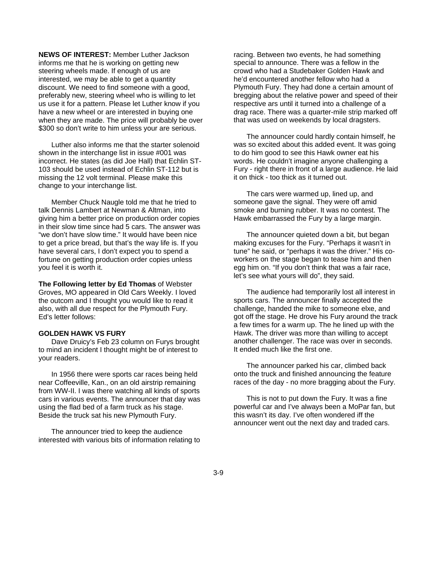**NEWS OF INTEREST:** Member Luther Jackson informs me that he is working on getting new steering wheels made. If enough of us are interested, we may be able to get a quantity discount. We need to find someone with a good, preferably new, steering wheel who is willing to let us use it for a pattern. Please let Luther know if you have a new wheel or are interested in buying one when they are made. The price will probably be over \$300 so don't write to him unless your are serious.

Luther also informs me that the starter solenoid shown in the interchange list in issue #001 was incorrect. He states (as did Joe Hall) that Echlin ST-103 should be used instead of Echlin ST-112 but is missing the 12 volt terminal. Please make this change to your interchange list.

Member Chuck Naugle told me that he tried to talk Dennis Lambert at Newman & Altman, into giving him a better price on production order copies in their slow time since had 5 cars. The answer was "we don't have slow time." It would have been nice to get a price bread, but that's the way life is. If you have several cars, I don't expect you to spend a fortune on getting production order copies unless you feel it is worth it.

**The Following letter by Ed Thomas** of Webster Groves, MO appeared in Old Cars Weekly. I loved the outcom and I thought you would like to read it also, with all due respect for the Plymouth Fury. Ed's letter follows:

#### **GOLDEN HAWK VS FURY**

Dave Druicy's Feb 23 column on Furys brought to mind an incident I thought might be of interest to your readers.

In 1956 there were sports car races being held near Coffeeville, Kan., on an old airstrip remaining from WW-II. I was there watching all kinds of sports cars in various events. The announcer that day was using the flad bed of a farm truck as his stage. Beside the truck sat his new Plymouth Fury.

The announcer tried to keep the audience interested with various bits of information relating to racing. Between two events, he had something special to announce. There was a fellow in the crowd who had a Studebaker Golden Hawk and he'd encountered another fellow who had a Plymouth Fury. They had done a certain amount of bregging about the relative power and speed of their respective ars until it turned into a challenge of a drag race. There was a quarter-mile strip marked off that was used on weekends by local dragsters.

The announcer could hardly contain himself, he was so excited about this added event. It was going to do him good to see this Hawk owner eat his words. He couldn't imagine anyone challenging a Fury - right there in front of a large audience. He laid it on thick - too thick as it turned out.

The cars were warmed up, lined up, and someone gave the signal. They were off amid smoke and burning rubber. It was no contest. The Hawk embarrassed the Fury by a large margin.

The announcer quieted down a bit, but began making excuses for the Fury. "Perhaps it wasn't in tune" he said, or "perhaps it was the driver." His coworkers on the stage began to tease him and then egg him on. "If you don't think that was a fair race, let's see what yours will do", they said.

The audience had temporarily lost all interest in sports cars. The announcer finally accepted the challenge, handed the mike to someone elxe, and got off the stage. He drove his Fury around the track a few times for a warm up. The he lined up with the Hawk. The driver was more than willing to accept another challenger. The race was over in seconds. It ended much like the first one.

The announcer parked his car, climbed back onto the truck and finished announcing the feature races of the day - no more bragging about the Fury.

This is not to put down the Fury. It was a fine powerful car and I've always been a MoPar fan, but this wasn't its day. I've often wondered iff the announcer went out the next day and traded cars.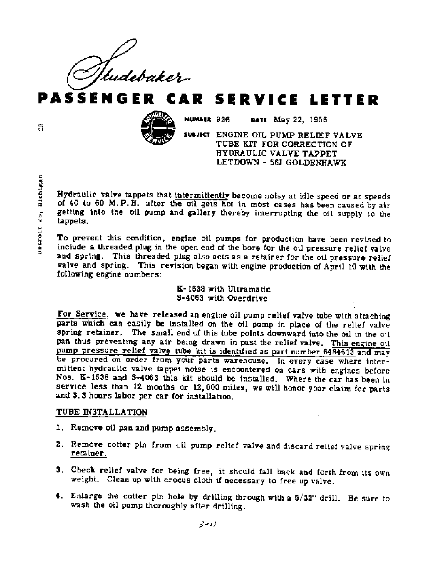'udebaker-

AR SERVICE LETTER



NUMBER 936 DATE May 22, 1956

SUBJECT ENGINE OIL PUMP RELIEF VALVE TUBE KIT FOR CORRECTION OF HYDRAULIC VALVE TAPPET LETDOWN - 58J GOLDENHAWK

Hydraulic valve tappets that intermittently become notsy at idle speed or at speeds of 40 to 60 M.P.H. after the oil gets hot in most cases has been caused by air getting into the oil pump and gallery thereby interrupting the oil supply to the tappets.

To prevent this condition, engine oil pumps for production have been revised to include a threaded plug in the open end of the bore for the oil pressure relief valve and spring. This threaded plug also acts as a retainer for the oil pressure relief valve and spring. This revision began with engine production of April 10 with the following engine numbers:

> K-1638 with Ultramatic S-4063 with Overdrive

For Service, we have released an engine oil pump relief valve tube with attaching parts which can easily be installed on the oil pump in place of the relief valve spring retainer. The small end of this tube points downward into the oil in the oil pan thus preventing any air being drawn in past the relief valve. This engine oil pump pressure relief valve tube kit is identified as part number 6484613 and may be procured on order from your parts warehouse. In every case where intermittent hydraulic valve tappet noise is encountered on cars with engines before Nos. K-1538 and S-4063 this kit should be installed. Where the car has been in service less than 12 months or 12,000 miles, we will honor your claim for parts and 3.3 hours labor per car for installation.

### TUBE INSTALLATION

- 1. Remove oil pan and pump assembly.
- 2. Remove cotter pin from oil pump relief valve and discard relief valve spring retainer.
- 3. Check relief valve for being free, it should fall back and forth from its own weight. Clean up with crocus cloth if necessary to free up valve.
- 4. Enlarge the cotter pin hole by drilling through with a  $5/32$ " drill. Be sure to wash the oil pump thoroughly after drilling.

ã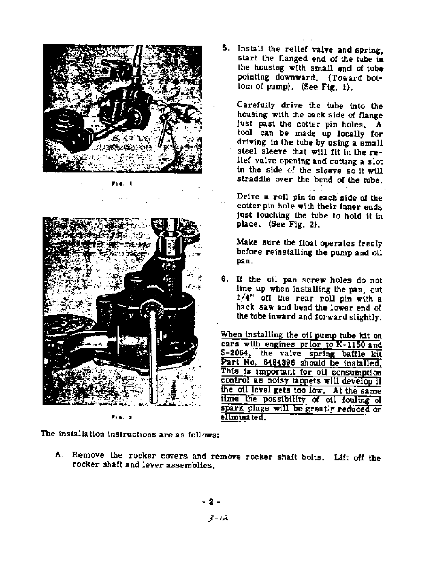

Fre.



The installation instructions are as follows:

- A. Remove the rocker covers and remove rocker shaft bolts. Lift off the rocker shaft and lever assemblies.
	- $3 12$

5. Install the relief valve and spring. start the flanged end of the tube in the housing with small end of tube pointing downward. (Toward bottom of pump). (See Fig. 1).

Carefully drive the tube into the housing with the back side of flange just past the cotter pin holes. A tool can be made up locally for driving in the tube by using a small steel sleeve that will fit in the relief valve opening and cutting a slot in the side of the sleeve so it will straddle over the bend of the tube.

Drive a roll pin in each side of the cotter pin hole with their inner ends. just touching the tube to hold it in place.  $(See Fig. 2)$ ,

Make sure the float operates freely before reinstalling the pump and oil pan.

6. If the oil pan screw holes do not line up when installing the pan, cut  $1/4$ " off the rear roll pin with a hack saw and bend the lower end of the tube inward and forward slightly.

When installing the oil pump tube kit on cars with engines prior to K-1150 and S-2064, the valve spring baffle kit Part No. 6484396 should be installed. This is important for oil consumption control as notsy tappets will develop if the oil level gets too low. At the same time the possibility of oil fouling of spark plugs will be greatly reduced or eliminated.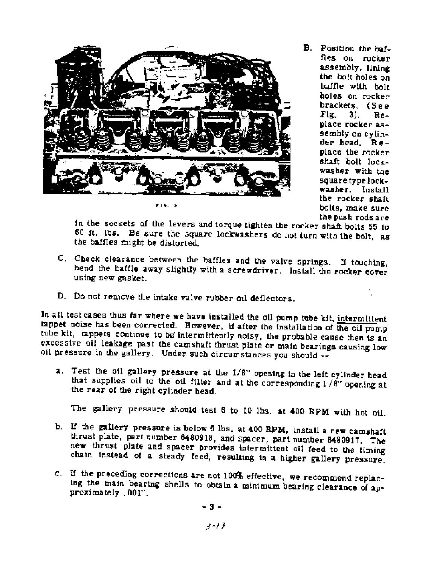

 $F(6, 3)$ 

B. Position the baffles on rocker assembly, lining the bolt holes on baffle with bolt holes on rocker  $brackets.$  (See Fig. 31. Replace rocker assembly on cylinder head. Replace the rocker shaft bolt lockwasher with the square type lockwasher. Install the rocker shaft bolts, make sure the push rods are

in the sockets of the levers and torque tighten the rocker shaft bolts 55 to 60 ft. lbs. Be sure the square lockwashers do not turn with the bolt, as the baffles might be distorted.

- C. Check clearance between the baffles and the valve springs. If touching, hend the baffle away slightly with a screwdriver. Install the rocker cover using new gasket.
- D. Do not remove the intake valve rubber oil deflectors.

In all test cases thus far where we have installed the oil pump tube kit, intermittent tappet noise has been corrected. However, if after the installation of the oil pump tube kit, tappets continue to be intermittently noisy, the probable cause then is an excessive oil leakage past the camshaft thrust plate or main bearings causing low oil pressure in the gallery. Under such circumstances you should --

a. Test the oil gallery pressure at the 1/8" opening in the left cylinder head that supplies oil to the oil filter and at the corresponding 1/8" opening at the rear of the right cylinder head.

The gallery pressure should test 6 to 10 lbs. at 400 RPM with hot oil.

- b. If the gallery pressure is below 6 lbs. at 400 RPM, install a new camshaft thrust plate, part number 6480918, and spacer, part number 6480917. The new thrust plate and spacer provides intermittent oil feed to the timing chain instead of a steady feed, resulting in a higher gallery pressure.
- c. If the preceding corrections are not 100% effective, we recommend replacing the main bearing shells to obtain a minimum bearing clearance of approximately .001".

- 3 -